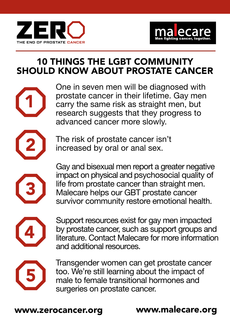



## 10 THINGS THE LGBT COMMUNITY SHOULD KNOW ABOUT PROSTATE CANCER





1

2 The risk of prostate cancer isn't increased by oral or anal sex.

Gay and bisexual men report a greater negative impact on physical and psychosocial quality of life from prostate cancer than straight men. Malecare helps our GBT prostate cancer survivor community restore emotional health.



3

Support resources exist for gay men impacted by prostate cancer, such as support groups and literature. Contact Malecare for more information and additional resources.



Transgender women can get prostate cancer too. We're still learning about the impact of male to female transitional hormones and surgeries on prostate cancer.

www.zerocancer.org www.malecare.org